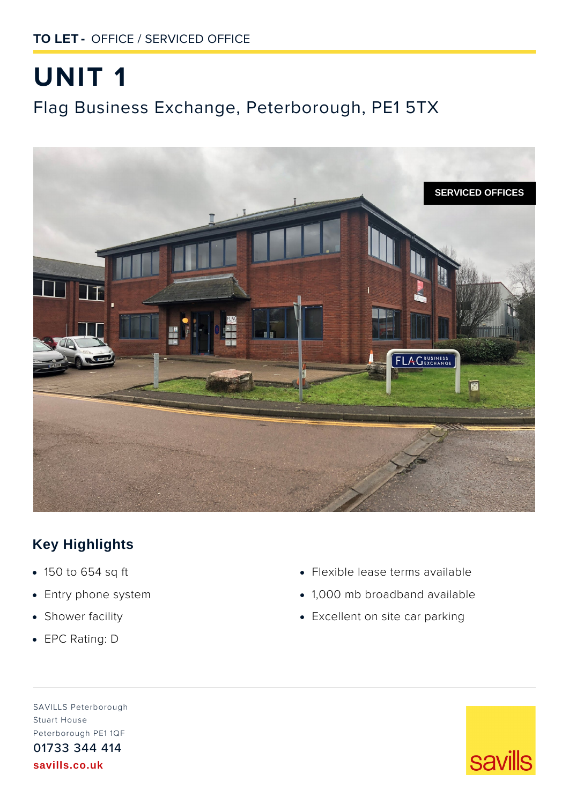# **UNIT 1** Flag Business Exchange, Peterborough, PE1 5TX



# **Key Highlights**

- **·** 150 to 654 sq ft
- **·** Entry phone system
- **·** Shower facility
- **·** EPC Rating: D
- **·** Flexible lease terms available
- **·** 1,000 mb broadband available
- **·** Excellent on site car parking

SAVILLS Peterborough Stuart House Peterborough PE1 1QF 01733 344 414 **savills.co.uk**